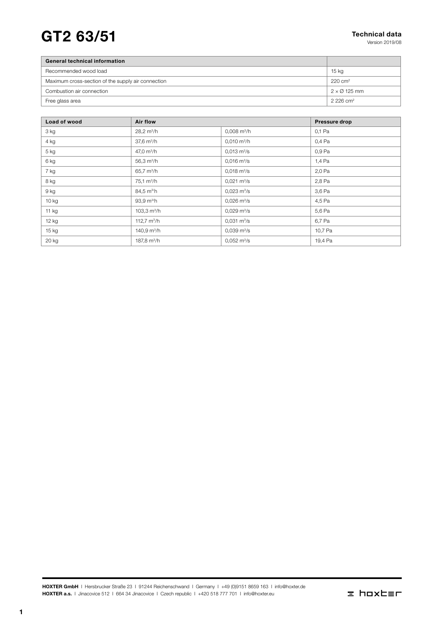# $GT2$  63/51 Technical data

Version 2019/08

| <b>General technical information</b>               |                             |
|----------------------------------------------------|-----------------------------|
| Recommended wood load                              | 15 kg                       |
| Maximum cross-section of the supply air connection | $220 \text{ cm}^2$          |
| Combustion air connection                          | $2 \times \emptyset$ 125 mm |
| Free glass area                                    | $2.226$ cm <sup>2</sup>     |

| Load of wood | Air flow                |                              | Pressure drop |
|--------------|-------------------------|------------------------------|---------------|
| 3 kg         | $28.2 \text{ m}^3/h$    | $0,008$ m <sup>3</sup> /h    | 0,1 Pa        |
| 4 kg         | $37,6 \text{ m}^3/h$    | $0,010 \text{ m}^3/h$        | 0,4 Pa        |
| 5 kg         | 47,0 $m^3/h$            | $0,013 \text{ m}^3/\text{s}$ | 0,9 Pa        |
| 6 kg         | $56,3 \text{ m}^3/h$    | $0,016 \text{ m}^3/\text{s}$ | 1,4 Pa        |
| 7 kg         | 65,7 $m^3/h$            | $0,018 \text{ m}^3/\text{s}$ | 2,0 Pa        |
| 8 kg         | $75.1 \text{ m}^3/h$    | $0.021 \text{ m}^3/\text{s}$ | 2,8 Pa        |
| 9 kg         | 84,5 m <sup>3/</sup> h  | $0,023 \text{ m}^3/\text{s}$ | 3,6 Pa        |
| $10$ kg      | $93.9 \text{ m}^3/h$    | $0,026 \text{ m}^3/\text{s}$ | 4,5 Pa        |
| 11 $kg$      | 103,3 $\mathrm{m}^3$ /h | $0.029 \text{ m}^3/\text{s}$ | 5,6 Pa        |
| 12 kg        | 112,7 $m^3/h$           | $0,031 \text{ m}^3/\text{s}$ | 6,7 Pa        |
| $15$ kg      | 140,9 $m^3/h$           | $0,039 \text{ m}^3/\text{s}$ | 10,7 Pa       |
| 20 kg        | 187,8 $m^3/h$           | $0,052 \text{ m}^3/\text{s}$ | 19,4 Pa       |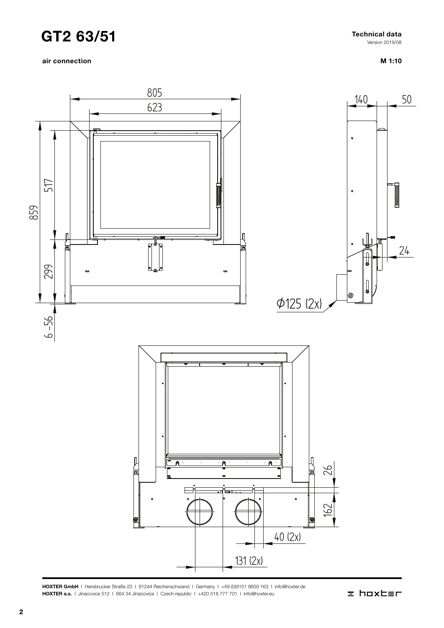air connection



M 1:10

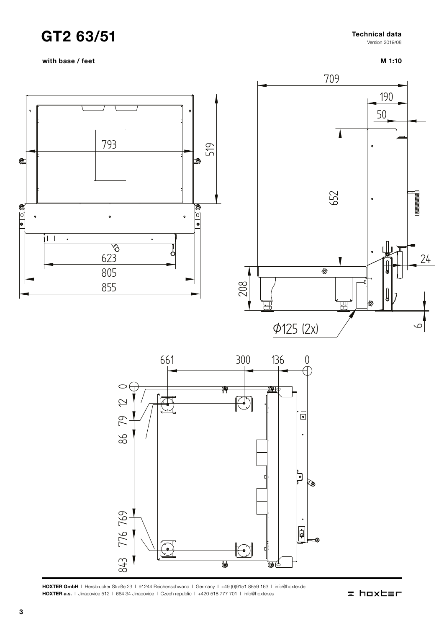with base / feet

#### Technical data

Version 2019/08

### M 1:10





HOXTER GmbH | Hersbrucker Straße 23 | 91244 Reichenschwand | Germany | +49 (0)9151 8659 163 | info@hoxter.de<br>HOXTER a.s. | Jinacovice 512 | 664 34 Jinacovice | Czech republic | +420 518 777 701 | info@hoxter.eu HOXTER a.s. I Jinacovice 512 | 664 34 Jinacovice | Czech republic | +420 518 777 701 | info@hoxter.eu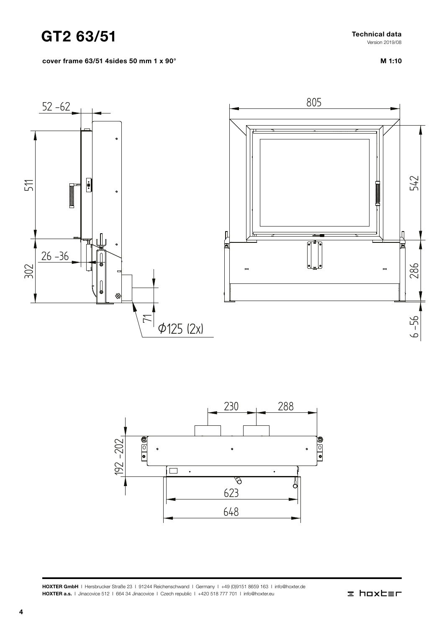Technical data Version 2019/08

cover frame 63/51 4sides 50 mm 1 x 90°

M 1:10